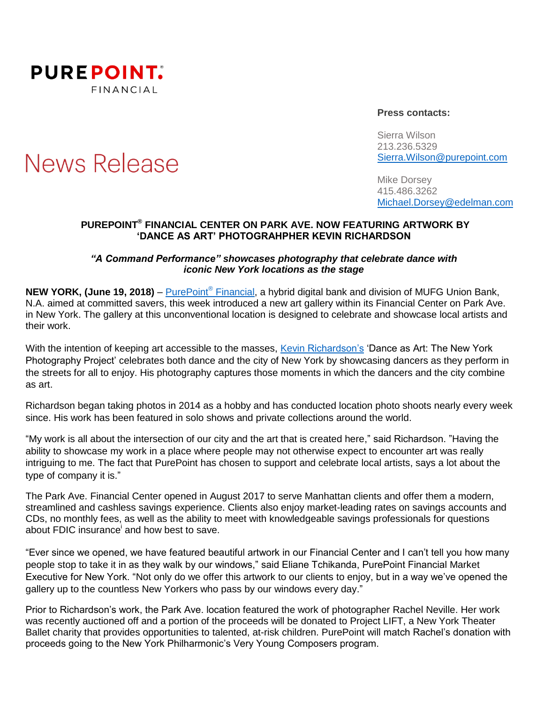

**News Release** 

### **Press contacts:**

Sierra Wilson 213.236.5329 [Sierra.Wilson@purepoint.com](mailto:Sierra.Wilson@purepoint.com)

Mike Dorsey 415.486.3262 [Michael.Dorsey@edelman.com](mailto:Michael.Dorsey@edelman.com)

## **PUREPOINT ® FINANCIAL CENTER ON PARK AVE. NOW FEATURING ARTWORK BY 'DANCE AS ART' PHOTOGRAHPHER KEVIN RICHARDSON**

## *"A Command Performance" showcases photography that celebrate dance with iconic New York locations as the stage*

**NEW YORK, (June 19, 2018)** – [PurePoint](https://www.purepoint.com/)® Financial, a hybrid digital bank and division of MUFG Union Bank, N.A. aimed at committed savers, this week introduced a new art gallery within its Financial Center on Park Ave. in New York. The gallery at this unconventional location is designed to celebrate and showcase local artists and their work.

With the intention of keeping art accessible to the masses, [Kevin Richardson's](https://www.danceasart.com/p/dance-photographer) 'Dance as Art: The New York Photography Project' celebrates both dance and the city of New York by showcasing dancers as they perform in the streets for all to enjoy. His photography captures those moments in which the dancers and the city combine as art.

Richardson began taking photos in 2014 as a hobby and has conducted location photo shoots nearly every week since. His work has been featured in solo shows and private collections around the world.

"My work is all about the intersection of our city and the art that is created here," said Richardson. "Having the ability to showcase my work in a place where people may not otherwise expect to encounter art was really intriguing to me. The fact that PurePoint has chosen to support and celebrate local artists, says a lot about the type of company it is."

The Park Ave. Financial Center opened in August 2017 to serve Manhattan clients and offer them a modern, streamlined and cashless savings experience. Clients also enjoy market-leading rates on savings accounts and CDs, no monthly fees, as well as the ability to meet with knowledgeable savings professionals for questions about FDIC insurance and how best to save.

"Ever since we opened, we have featured beautiful artwork in our Financial Center and I can't tell you how many people stop to take it in as they walk by our windows," said Eliane Tchikanda, PurePoint Financial Market Executive for New York. "Not only do we offer this artwork to our clients to enjoy, but in a way we've opened the gallery up to the countless New Yorkers who pass by our windows every day."

Prior to Richardson's work, the Park Ave. location featured the work of photographer Rachel Neville. Her work was recently auctioned off and a portion of the proceeds will be donated to Project LIFT, a New York Theater Ballet charity that provides opportunities to talented, at-risk children. PurePoint will match Rachel's donation with proceeds going to the New York Philharmonic's Very Young Composers program.